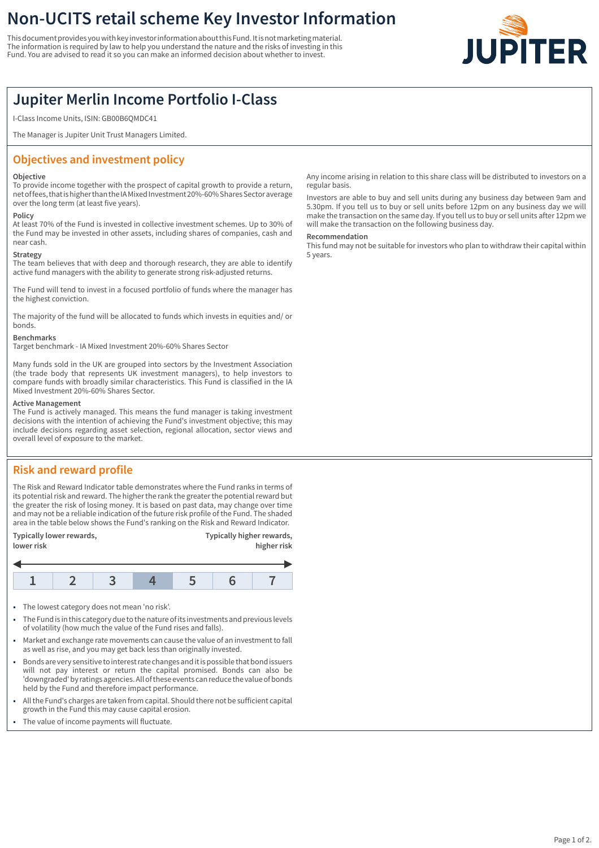# **Non-UCITS retail scheme Key Investor Information**

This document provides you with key investor information about this Fund. It is not marketing material. The information is required by law to help you understand the nature and the risks of investing in this Fund. You are advised to read it so you can make an informed decision about whether to invest.



## **Jupiter Merlin Income Portfolio I-Class**

I-Class Income Units, ISIN: GB00B6QMDC41

The Manager is Jupiter Unit Trust Managers Limited.

## **Objectives and investment policy**

#### **Objective**

To provide income together with the prospect of capital growth to provide a return, net of fees, that is higher than the IA Mixed Investment 20%-60% Shares Sector average over the long term (at least five years).

#### **Policy**

At least 70% of the Fund is invested in collective investment schemes. Up to 30% of the Fund may be invested in other assets, including shares of companies, cash and near cash.

#### **Strategy**

The team believes that with deep and thorough research, they are able to identify active fund managers with the ability to generate strong risk-adjusted returns.

The Fund will tend to invest in a focused portfolio of funds where the manager has the highest conviction.

The majority of the fund will be allocated to funds which invests in equities and/ or bonds.

#### **Benchmarks**

Target benchmark - IA Mixed Investment 20%-60% Shares Sector

Many funds sold in the UK are grouped into sectors by the Investment Association (the trade body that represents UK investment managers), to help investors to compare funds with broadly similar characteristics. This Fund is classified in the IA Mixed Investment 20%-60% Shares Sector.

#### **Active Management**

The Fund is actively managed. This means the fund manager is taking investment decisions with the intention of achieving the Fund's investment objective; this may include decisions regarding asset selection, regional allocation, sector views and overall level of exposure to the market.

## **Risk and reward profile**

The Risk and Reward Indicator table demonstrates where the Fund ranks in terms of its potential risk and reward. The higher the rank the greater the potential reward but the greater the risk of losing money. It is based on past data, may change over time and may not be a reliable indication of the future risk profile of the Fund. The shaded area in the table below shows the Fund's ranking on the Risk and Reward Indicator.

| Typically lower rewards, | Typically higher rewards, |
|--------------------------|---------------------------|
| lower risk               | higher risk               |



- The lowest category does not mean 'no risk'.
- 1 The Fund is in this category due to the nature of its investments and previous levels of volatility (how much the value of the Fund rises and falls).
- Market and exchange rate movements can cause the value of an investment to fall as well as rise, and you may get back less than originally invested.
- 1 Bonds are very sensitive to interest rate changes and it is possible that bond issuers will not pay interest or return the capital promised. Bonds can also be 'downgraded' by ratings agencies. All of these events can reduce the value of bonds held by the Fund and therefore impact performance.
- All the Fund's charges are taken from capital. Should there not be sufficient capital growth in the Fund this may cause capital erosion.
- The value of income payments will fluctuate.

Any income arising in relation to this share class will be distributed to investors on a regular basis.

Investors are able to buy and sell units during any business day between 9am and 5.30pm. If you tell us to buy or sell units before 12pm on any business day we will make the transaction on the same day. If you tell us to buy or sell units after 12pm we will make the transaction on the following business day.

#### **Recommendation**

This fund may not be suitable for investors who plan to withdraw their capital within 5 years.